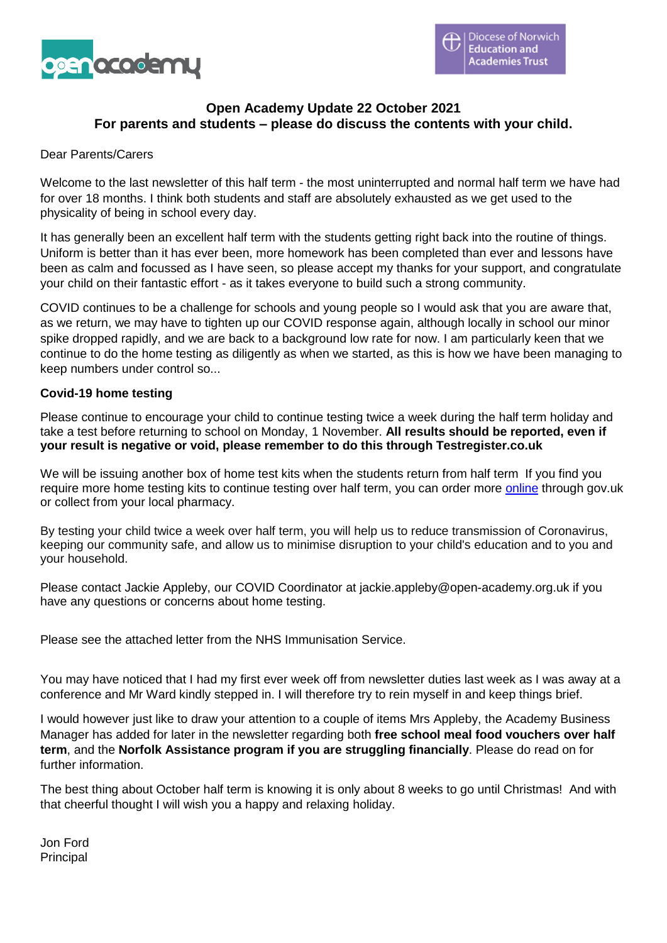

## **Open Academy Update 22 October 2021 For parents and students – please do discuss the contents with your child.**

#### Dear Parents/Carers

Welcome to the last newsletter of this half term - the most uninterrupted and normal half term we have had for over 18 months. I think both students and staff are absolutely exhausted as we get used to the physicality of being in school every day.

It has generally been an excellent half term with the students getting right back into the routine of things. Uniform is better than it has ever been, more homework has been completed than ever and lessons have been as calm and focussed as I have seen, so please accept my thanks for your support, and congratulate your child on their fantastic effort - as it takes everyone to build such a strong community.

COVID continues to be a challenge for schools and young people so I would ask that you are aware that, as we return, we may have to tighten up our COVID response again, although locally in school our minor spike dropped rapidly, and we are back to a background low rate for now. I am particularly keen that we continue to do the home testing as diligently as when we started, as this is how we have been managing to keep numbers under control so...

#### **Covid-19 home testing**

Please continue to encourage your child to continue testing twice a week during the half term holiday and take a test before returning to school on Monday, 1 November. **All results should be reported, even if your result is negative or void, please remember to do this through Testregister.co.uk**

We will be issuing another box of home test kits when the students return from half term If you find you require more home testing kits to continue testing over half term, you can order more [online](https://www.nhs.uk/conditions/coronavirus-covid-19/testing/regular-rapid-coronavirus-tests-if-you-do-not-have-symptoms/) through gov.uk or collect from your local pharmacy.

By testing your child twice a week over half term, you will help us to reduce transmission of Coronavirus, keeping our community safe, and allow us to minimise disruption to your child's education and to you and your household.

Please contact Jackie Appleby, our COVID Coordinator at jackie.appleby@open-academy.org.uk if you have any questions or concerns about home testing.

Please see the attached letter from the NHS Immunisation Service.

You may have noticed that I had my first ever week off from newsletter duties last week as I was away at a conference and Mr Ward kindly stepped in. I will therefore try to rein myself in and keep things brief.

I would however just like to draw your attention to a couple of items Mrs Appleby, the Academy Business Manager has added for later in the newsletter regarding both **free school meal food vouchers over half term**, and the **Norfolk Assistance program if you are struggling financially**. Please do read on for further information.

The best thing about October half term is knowing it is only about 8 weeks to go until Christmas! And with that cheerful thought I will wish you a happy and relaxing holiday.

Jon Ford Principal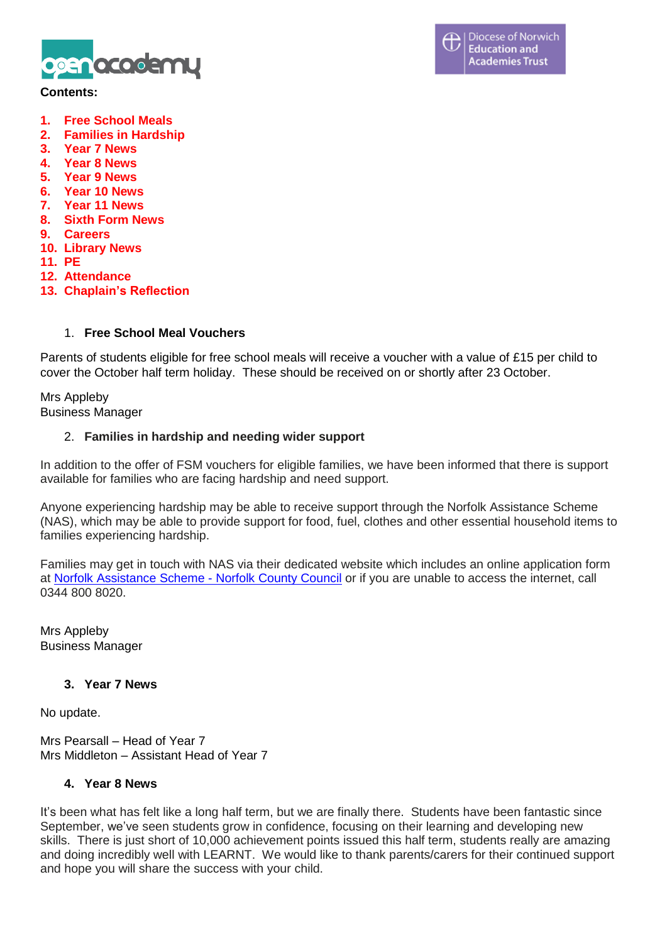

### **Contents:**

- **1. Free School Meals**
- **2. Families in Hardship**
- **3. Year 7 News**
- **4. Year 8 News**
- **5. Year 9 News**
- **6. Year 10 News**
- **7. Year 11 News**
- **8. Sixth Form News**
- **9. Careers**
- **10. Library News**
- **11. PE**
- **12. Attendance**
- **13. Chaplain's Reflection**

## 1. **Free School Meal Vouchers**

Parents of students eligible for free school meals will receive a voucher with a value of £15 per child to cover the October half term holiday. These should be received on or shortly after 23 October.

### Mrs Appleby Business Manager

## 2. **Families in hardship and needing wider support**

In addition to the offer of FSM vouchers for eligible families, we have been informed that there is support available for families who are facing hardship and need support.

Anyone experiencing hardship may be able to receive support through the Norfolk Assistance Scheme (NAS), which may be able to provide support for food, fuel, clothes and other essential household items to families experiencing hardship.

Families may get in touch with NAS via their dedicated website which includes an online application form at Norfolk [Assistance](https://www.norfolk.gov.uk/care-support-and-health/support-for-living-independently/money-and-benefits/norfolk-assistance-scheme) Scheme - Norfolk County Council or if you are unable to access the internet, call 0344 800 8020.

Mrs Appleby Business Manager

## **3. Year 7 News**

No update.

Mrs Pearsall – Head of Year 7 Mrs Middleton – Assistant Head of Year 7

## **4. Year 8 News**

It's been what has felt like a long half term, but we are finally there. Students have been fantastic since September, we've seen students grow in confidence, focusing on their learning and developing new skills. There is just short of 10,000 achievement points issued this half term, students really are amazing and doing incredibly well with LEARNT. We would like to thank parents/carers for their continued support and hope you will share the success with your child.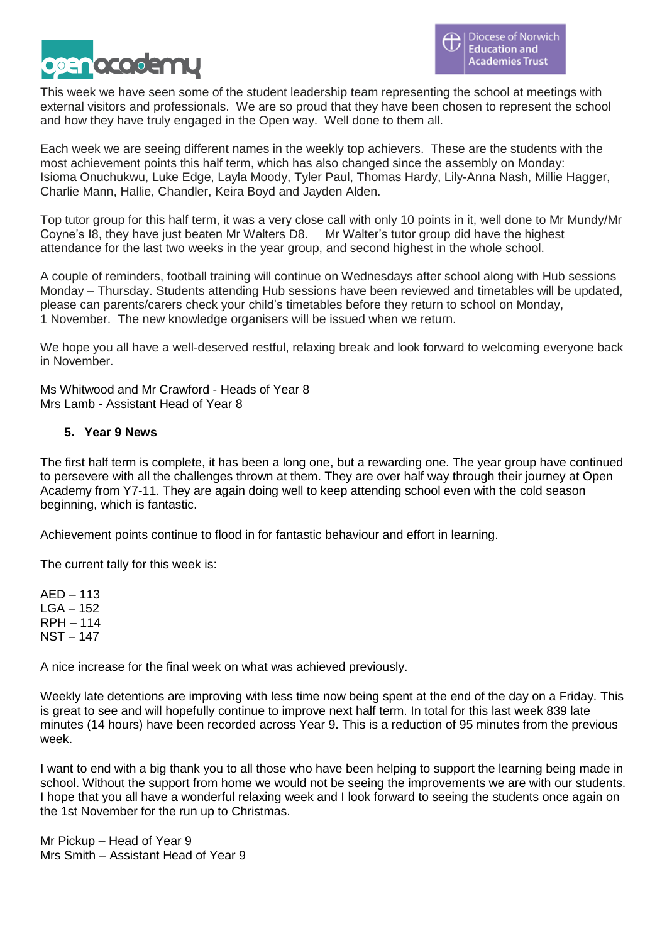

This week we have seen some of the student leadership team representing the school at meetings with external visitors and professionals. We are so proud that they have been chosen to represent the school and how they have truly engaged in the Open way. Well done to them all.

Each week we are seeing different names in the weekly top achievers. These are the students with the most achievement points this half term, which has also changed since the assembly on Monday: Isioma Onuchukwu, Luke Edge, Layla Moody, Tyler Paul, Thomas Hardy, Lily-Anna Nash, Millie Hagger, Charlie Mann, Hallie, Chandler, Keira Boyd and Jayden Alden.

Top tutor group for this half term, it was a very close call with only 10 points in it, well done to Mr Mundy/Mr Coyne's I8, they have just beaten Mr Walters D8. Mr Walter's tutor group did have the highest attendance for the last two weeks in the year group, and second highest in the whole school.

A couple of reminders, football training will continue on Wednesdays after school along with Hub sessions Monday – Thursday. Students attending Hub sessions have been reviewed and timetables will be updated, please can parents/carers check your child's timetables before they return to school on Monday, 1 November. The new knowledge organisers will be issued when we return.

We hope you all have a well-deserved restful, relaxing break and look forward to welcoming everyone back in November.

Ms Whitwood and Mr Crawford - Heads of Year 8 Mrs Lamb - Assistant Head of Year 8

## **5. Year 9 News**

The first half term is complete, it has been a long one, but a rewarding one. The year group have continued to persevere with all the challenges thrown at them. They are over half way through their journey at Open Academy from Y7-11. They are again doing well to keep attending school even with the cold season beginning, which is fantastic.

Achievement points continue to flood in for fantastic behaviour and effort in learning.

The current tally for this week is:

AED – 113 LGA – 152 RPH – 114 NST – 147

A nice increase for the final week on what was achieved previously.

Weekly late detentions are improving with less time now being spent at the end of the day on a Friday. This is great to see and will hopefully continue to improve next half term. In total for this last week 839 late minutes (14 hours) have been recorded across Year 9. This is a reduction of 95 minutes from the previous week.

I want to end with a big thank you to all those who have been helping to support the learning being made in school. Without the support from home we would not be seeing the improvements we are with our students. I hope that you all have a wonderful relaxing week and I look forward to seeing the students once again on the 1st November for the run up to Christmas.

Mr Pickup – Head of Year 9 Mrs Smith – Assistant Head of Year 9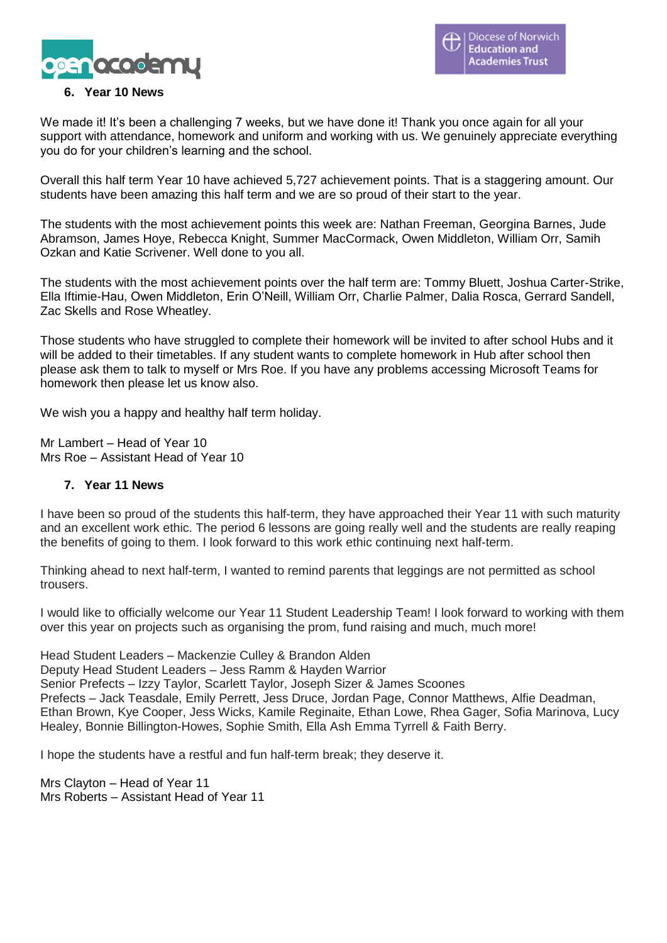

## **6. Year 10 News**

We made it! It's been a challenging 7 weeks, but we have done it! Thank you once again for all your support with attendance, homework and uniform and working with us. We genuinely appreciate everything you do for your children's learning and the school.

Overall this half term Year 10 have achieved 5,727 achievement points. That is a staggering amount. Our students have been amazing this half term and we are so proud of their start to the year.

The students with the most achievement points this week are: Nathan Freeman, Georgina Barnes, Jude Abramson, James Hoye, Rebecca Knight, Summer MacCormack, Owen Middleton, William Orr, Samih Ozkan and Katie Scrivener. Well done to you all.

The students with the most achievement points over the half term are: Tommy Bluett, Joshua Carter-Strike, Ella Iftimie-Hau, Owen Middleton, Erin O'Neill, William Orr, Charlie Palmer, Dalia Rosca, Gerrard Sandell, Zac Skells and Rose Wheatley.

Those students who have struggled to complete their homework will be invited to after school Hubs and it will be added to their timetables. If any student wants to complete homework in Hub after school then please ask them to talk to myself or Mrs Roe. If you have any problems accessing Microsoft Teams for homework then please let us know also.

We wish you a happy and healthy half term holiday.

Mr Lambert – Head of Year 10 Mrs Roe – Assistant Head of Year 10

## **7. Year 11 News**

I have been so proud of the students this half-term, they have approached their Year 11 with such maturity and an excellent work ethic. The period 6 lessons are going really well and the students are really reaping the benefits of going to them. I look forward to this work ethic continuing next half-term.

Thinking ahead to next half-term, I wanted to remind parents that leggings are not permitted as school trousers.

I would like to officially welcome our Year 11 Student Leadership Team! I look forward to working with them over this year on projects such as organising the prom, fund raising and much, much more!

Head Student Leaders – Mackenzie Culley & Brandon Alden

Deputy Head Student Leaders – Jess Ramm & Hayden Warrior

Senior Prefects – Izzy Taylor, Scarlett Taylor, Joseph Sizer & James Scoones

Prefects – Jack Teasdale, Emily Perrett, Jess Druce, Jordan Page, Connor Matthews, Alfie Deadman, Ethan Brown, Kye Cooper, Jess Wicks, Kamile Reginaite, Ethan Lowe, Rhea Gager, Sofia Marinova, Lucy

Healey, Bonnie Billington-Howes, Sophie Smith, Ella Ash Emma Tyrrell & Faith Berry.

I hope the students have a restful and fun half-term break; they deserve it.

Mrs Clayton – Head of Year 11 Mrs Roberts – Assistant Head of Year 11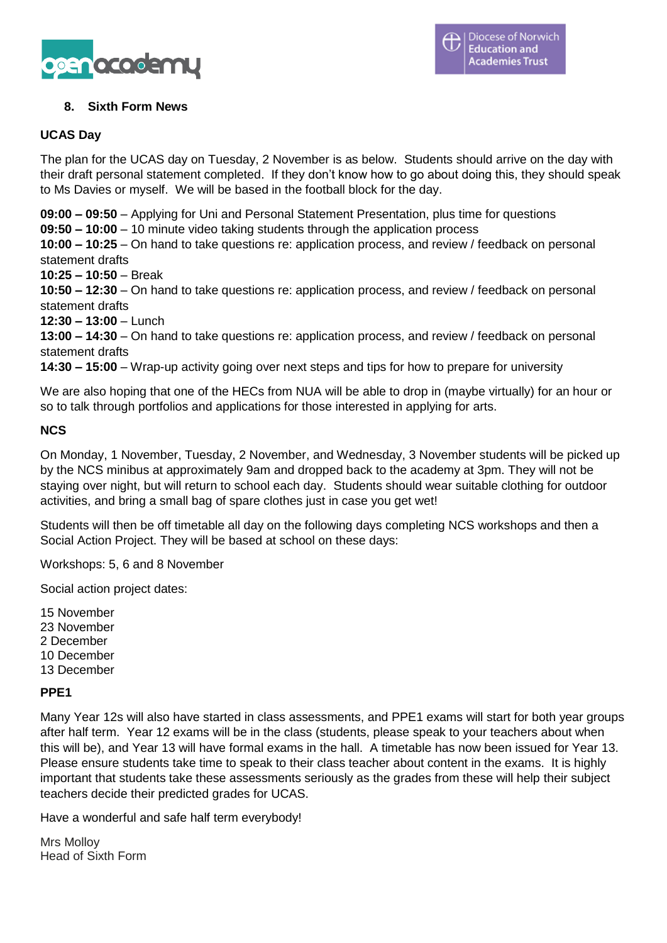

# **8. Sixth Form News**

## **UCAS Day**

The plan for the UCAS day on Tuesday, 2 November is as below. Students should arrive on the day with their draft personal statement completed. If they don't know how to go about doing this, they should speak to Ms Davies or myself. We will be based in the football block for the day.

**09:00 – 09:50** – Applying for Uni and Personal Statement Presentation, plus time for questions

**09:50 – 10:00** – 10 minute video taking students through the application process

**10:00 – 10:25** – On hand to take questions re: application process, and review / feedback on personal statement drafts

**10:25 – 10:50** – Break

**10:50 – 12:30** – On hand to take questions re: application process, and review / feedback on personal statement drafts

**12:30 – 13:00** – Lunch

**13:00 – 14:30** – On hand to take questions re: application process, and review / feedback on personal statement drafts

**14:30 – 15:00** – Wrap-up activity going over next steps and tips for how to prepare for university

We are also hoping that one of the HECs from NUA will be able to drop in (maybe virtually) for an hour or so to talk through portfolios and applications for those interested in applying for arts.

## **NCS**

On Monday, 1 November, Tuesday, 2 November, and Wednesday, 3 November students will be picked up by the NCS minibus at approximately 9am and dropped back to the academy at 3pm. They will not be staying over night, but will return to school each day. Students should wear suitable clothing for outdoor activities, and bring a small bag of spare clothes just in case you get wet!

Students will then be off timetable all day on the following days completing NCS workshops and then a Social Action Project. They will be based at school on these days:

Workshops: 5, 6 and 8 November

Social action project dates:

15 November 23 November 2 December 10 December 13 December

## **PPE1**

Many Year 12s will also have started in class assessments, and PPE1 exams will start for both year groups after half term. Year 12 exams will be in the class (students, please speak to your teachers about when this will be), and Year 13 will have formal exams in the hall. A timetable has now been issued for Year 13. Please ensure students take time to speak to their class teacher about content in the exams. It is highly important that students take these assessments seriously as the grades from these will help their subject teachers decide their predicted grades for UCAS.

Have a wonderful and safe half term everybody!

Mrs Molloy Head of Sixth Form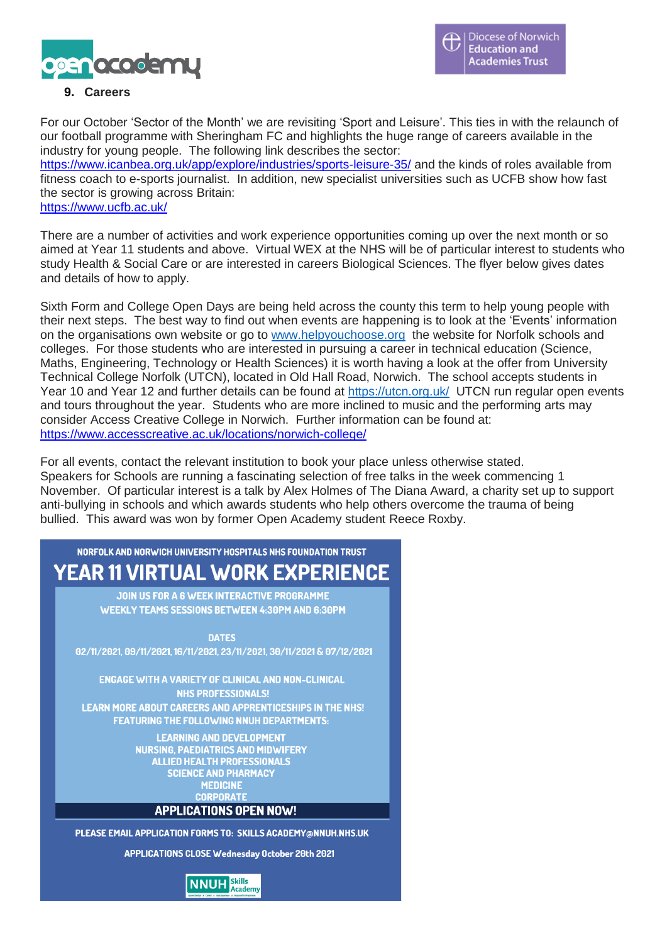

# **9. Careers**

For our October 'Sector of the Month' we are revisiting 'Sport and Leisure'. This ties in with the relaunch of our football programme with Sheringham FC and highlights the huge range of careers available in the industry for young people. The following link describes the sector: <https://www.icanbea.org.uk/app/explore/industries/sports-leisure-35/> and the kinds of roles available from fitness coach to e-sports journalist. In addition, new specialist universities such as UCFB show how fast the sector is growing across Britain:

<https://www.ucfb.ac.uk/>

There are a number of activities and work experience opportunities coming up over the next month or so aimed at Year 11 students and above. Virtual WEX at the NHS will be of particular interest to students who study Health & Social Care or are interested in careers Biological Sciences. The flyer below gives dates and details of how to apply.

Sixth Form and College Open Days are being held across the county this term to help young people with their next steps. The best way to find out when events are happening is to look at the 'Events' information on the organisations own website or go to [www.helpyouchoose.org](http://www.helpyouchoose.org/) the website for Norfolk schools and colleges. For those students who are interested in pursuing a career in technical education (Science, Maths, Engineering, Technology or Health Sciences) it is worth having a look at the offer from University Technical College Norfolk (UTCN), located in Old Hall Road, Norwich. The school accepts students in Year 10 and Year 12 and further details can be found at <https://utcn.org.uk/>UTCN run regular open events and tours throughout the year. Students who are more inclined to music and the performing arts may consider Access Creative College in Norwich. Further information can be found at: <https://www.accesscreative.ac.uk/locations/norwich-college/>

For all events, contact the relevant institution to book your place unless otherwise stated. Speakers for Schools are running a fascinating selection of free talks in the week commencing 1 November. Of particular interest is a talk by Alex Holmes of The Diana Award, a charity set up to support anti-bullying in schools and which awards students who help others overcome the trauma of being bullied. This award was won by former Open Academy student Reece Roxby.

NOREOLK AND NORWICH UNIVERSITY HOSPITALS NHS FOUNDATION TRUST **YEAR 11 VIRTUAL WORK EXPERIENCE JOIN US FOR A 6 WEEK INTERACTIVE PROGRAMME WEEKLY TEAMS SESSIONS BETWEEN 4:30PM AND 6:30PM DATES** 02/11/2021, 09/11/2021, 16/11/2021, 23/11/2021, 30/11/2021 & 07/12/2021 **ENGAGE WITH A VARIETY OF CLINICAL AND NON-CLINICAL NHS PROFESSIONALS! LEARN MORE ABOUT CAREERS AND APPRENTICESHIPS IN THE NHS! FEATURING THE FOLLOWING NNUH DEPARTMENTS: LEARNING AND DEVELOPMENT NURSING, PAEDIATRICS AND MIDWIFERY ALLIED HEALTH PROFESSIONALS SCIENCE AND PHARMACY MEDICINE CORPORATE APPLICATIONS OPEN NOW!** PLEASE EMAIL APPLICATION FORMS TO: SKILLS ACADEMY@NNUH.NHS.UK **APPLICATIONS CLOSE Wednesday October 20th 2021** 

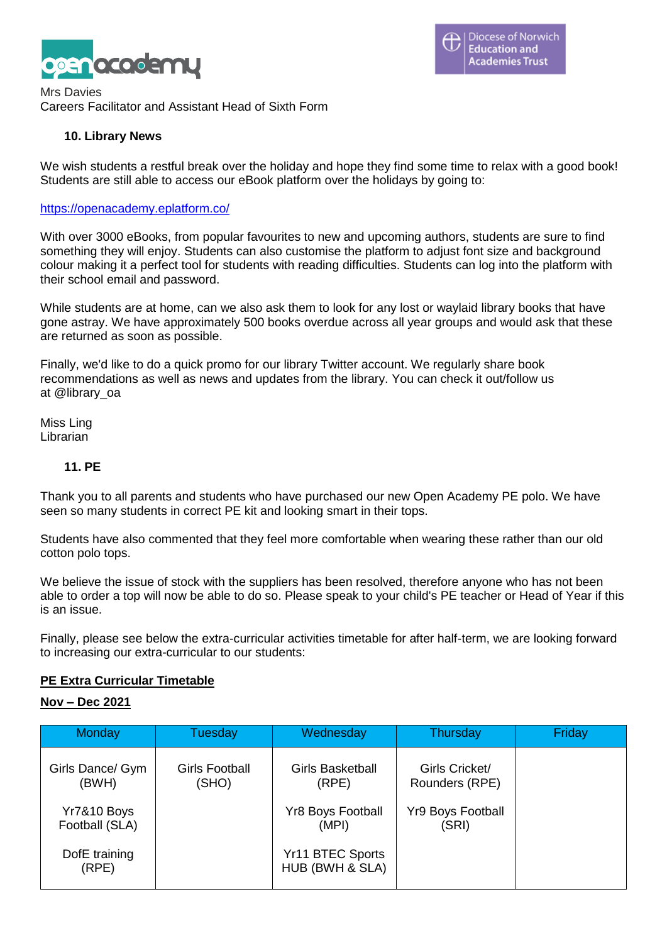

Mrs Davies Careers Facilitator and Assistant Head of Sixth Form

## **10. Library News**

We wish students a restful break over the holiday and hope they find some time to relax with a good book! Students are still able to access our eBook platform over the holidays by going to:

#### <https://openacademy.eplatform.co/>

With over 3000 eBooks, from popular favourites to new and upcoming authors, students are sure to find something they will enjoy. Students can also customise the platform to adjust font size and background colour making it a perfect tool for students with reading difficulties. Students can log into the platform with their school email and password.

While students are at home, can we also ask them to look for any lost or waylaid library books that have gone astray. We have approximately 500 books overdue across all year groups and would ask that these are returned as soon as possible.

Finally, we'd like to do a quick promo for our library Twitter account. We regularly share book recommendations as well as news and updates from the library. You can check it out/follow us at @library\_oa

Miss Ling Librarian

### **11. PE**

Thank you to all parents and students who have purchased our new Open Academy PE polo. We have seen so many students in correct PE kit and looking smart in their tops.

Students have also commented that they feel more comfortable when wearing these rather than our old cotton polo tops.

We believe the issue of stock with the suppliers has been resolved, therefore anyone who has not been able to order a top will now be able to do so. Please speak to your child's PE teacher or Head of Year if this is an issue.

Finally, please see below the extra-curricular activities timetable for after half-term, we are looking forward to increasing our extra-curricular to our students:

## **PE Extra Curricular Timetable**

#### **Nov – Dec 2021**

| Monday                        | Tuesday                 | Wednesday                           | Thursday                          | Friday |
|-------------------------------|-------------------------|-------------------------------------|-----------------------------------|--------|
| Girls Dance/ Gym<br>(BWH)     | Girls Football<br>(SHO) | <b>Girls Basketball</b><br>(RPE)    | Girls Cricket/<br>Rounders (RPE)  |        |
| Yr7&10 Boys<br>Football (SLA) |                         | <b>Yr8 Boys Football</b><br>(MPI)   | <b>Yr9 Boys Football</b><br>(SRI) |        |
| DofE training<br>(RPE)        |                         | Yr11 BTEC Sports<br>HUB (BWH & SLA) |                                   |        |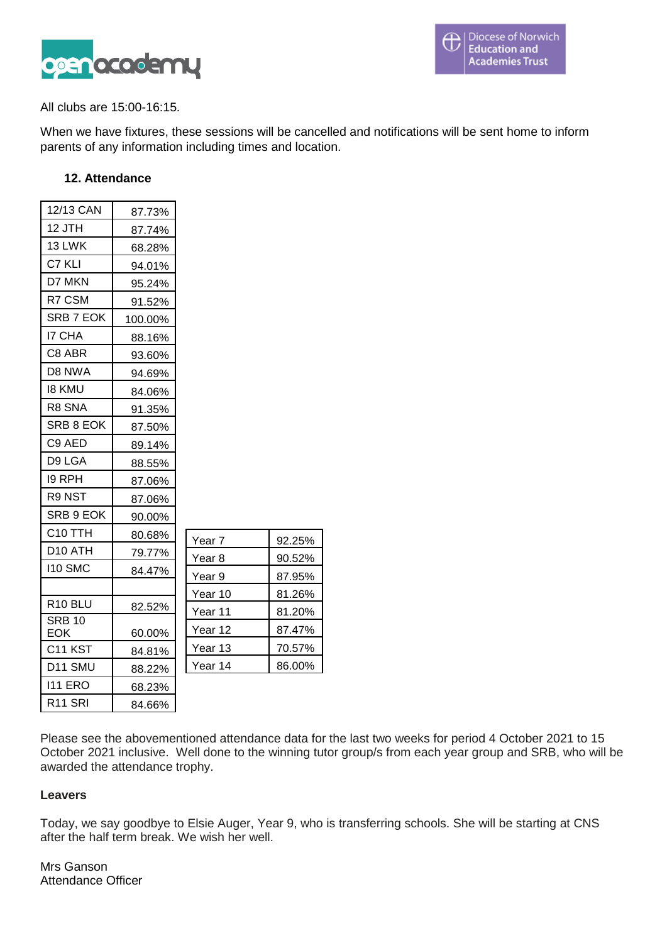

All clubs are 15:00-16:15.

When we have fixtures, these sessions will be cancelled and notifications will be sent home to inform parents of any information including times and location.

## **12. Attendance**

| 12/13 CAN                  | 87.73%  |         |
|----------------------------|---------|---------|
| 12 JTH                     | 87.74%  |         |
| 13 LWK                     | 68.28%  |         |
| C7 KLI                     | 94.01%  |         |
| D7 MKN                     | 95.24%  |         |
| R7 CSM                     | 91.52%  |         |
| SRB 7 EOK                  | 100.00% |         |
| <b>I7 CHA</b>              | 88.16%  |         |
| C8 ABR                     | 93.60%  |         |
| D8 NWA                     | 94.69%  |         |
| 18 KMU                     | 84.06%  |         |
| R8 SNA                     | 91.35%  |         |
| SRB 8 EOK                  | 87.50%  |         |
| C <sub>9</sub> AED         | 89.14%  |         |
| D9 LGA                     | 88.55%  |         |
| 19 RPH                     | 87.06%  |         |
| R9 NST                     | 87.06%  |         |
| SRB 9 EOK                  | 90.00%  |         |
| C <sub>10</sub> TTH        | 80.68%  | Year 7  |
| D10 ATH                    | 79.77%  | Year 8  |
| <b>110 SMC</b>             | 84.47%  | Year 9  |
|                            |         | Year 10 |
| R <sub>10</sub> BLU        | 82.52%  | Year 11 |
| <b>SRB 10</b>              |         | Year 12 |
| EOK<br>C <sub>11</sub> KST | 60.00%  | Year 13 |
| D11 SMU                    | 84.81%  | Year 14 |
|                            | 88.22%  |         |
| <b>111 ERO</b>             | 68.23%  |         |
| R <sub>11</sub> SRI        | 84.66%  |         |

| Year 7  | 92.25% |
|---------|--------|
| Year 8  | 90.52% |
| Year 9  | 87.95% |
| Year 10 | 81.26% |
| Year 11 | 81.20% |
| Year 12 | 87.47% |
| Year 13 | 70.57% |
| Year 14 | 86.00% |
|         |        |
|         |        |

Please see the abovementioned attendance data for the last two weeks for period 4 October 2021 to 15 October 2021 inclusive. Well done to the winning tutor group/s from each year group and SRB, who will be awarded the attendance trophy.

## **Leavers**

Today, we say goodbye to Elsie Auger, Year 9, who is transferring schools. She will be starting at CNS after the half term break. We wish her well.

Mrs Ganson Attendance Officer